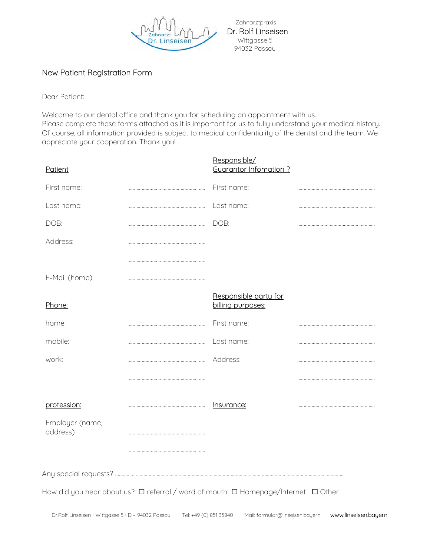

 Zahnarztpraxis Dr. Rolf Linseisen 94032 Passau

## New Patient Registration Form

Dear Patient:

Welcome to our dental office and thank you for scheduling an appointment with us. Please complete these forms attached as it is important for us to fully understand your medical history. Of course, all information provided is subject to medical confidentiality of the dentist and the team. We appreciate your cooperation. Thank you!

| Patient                                                                           |  | Responsible/<br><b>Guarantor Infomation?</b> |  |  |  |  |  |  |
|-----------------------------------------------------------------------------------|--|----------------------------------------------|--|--|--|--|--|--|
| First name:                                                                       |  | First name:                                  |  |  |  |  |  |  |
| Last name:                                                                        |  | Last name:                                   |  |  |  |  |  |  |
| DOB:                                                                              |  | DOB:                                         |  |  |  |  |  |  |
| Address:                                                                          |  |                                              |  |  |  |  |  |  |
|                                                                                   |  |                                              |  |  |  |  |  |  |
| E-Mail (home):                                                                    |  |                                              |  |  |  |  |  |  |
| Phone:                                                                            |  | Responsible party for<br>billing purposes:   |  |  |  |  |  |  |
| home:                                                                             |  | First name:                                  |  |  |  |  |  |  |
| mobile:                                                                           |  | Last name:                                   |  |  |  |  |  |  |
| work:                                                                             |  | Address:                                     |  |  |  |  |  |  |
|                                                                                   |  |                                              |  |  |  |  |  |  |
| profession:                                                                       |  | Insurance:                                   |  |  |  |  |  |  |
| Employer (name,<br>address)                                                       |  |                                              |  |  |  |  |  |  |
|                                                                                   |  |                                              |  |  |  |  |  |  |
|                                                                                   |  |                                              |  |  |  |  |  |  |
| How did you hear about us? □ referral / word of mouth □ Homepage/Internet □ Other |  |                                              |  |  |  |  |  |  |